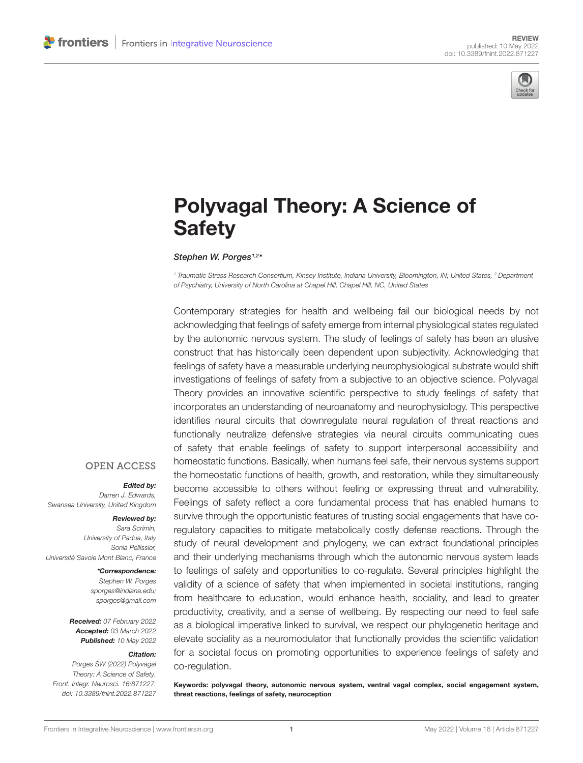

# [Polyvagal Theory: A Science of](https://www.frontiersin.org/articles/10.3389/fnint.2022.871227/full) **Safety**

#### Stephen W. Porges<sup>1,2\*</sup>

<sup>1</sup> Traumatic Stress Research Consortium, Kinsey Institute, Indiana University, Bloomington, IN, United States, <sup>2</sup> Department of Psychiatry, University of North Carolina at Chapel Hill, Chapel Hill, NC, United States

Contemporary strategies for health and wellbeing fail our biological needs by not acknowledging that feelings of safety emerge from internal physiological states regulated by the autonomic nervous system. The study of feelings of safety has been an elusive construct that has historically been dependent upon subjectivity. Acknowledging that feelings of safety have a measurable underlying neurophysiological substrate would shift investigations of feelings of safety from a subjective to an objective science. Polyvagal Theory provides an innovative scientific perspective to study feelings of safety that incorporates an understanding of neuroanatomy and neurophysiology. This perspective identifies neural circuits that downregulate neural regulation of threat reactions and functionally neutralize defensive strategies via neural circuits communicating cues of safety that enable feelings of safety to support interpersonal accessibility and homeostatic functions. Basically, when humans feel safe, their nervous systems support the homeostatic functions of health, growth, and restoration, while they simultaneously become accessible to others without feeling or expressing threat and vulnerability. Feelings of safety reflect a core fundamental process that has enabled humans to survive through the opportunistic features of trusting social engagements that have coregulatory capacities to mitigate metabolically costly defense reactions. Through the study of neural development and phylogeny, we can extract foundational principles and their underlying mechanisms through which the autonomic nervous system leads to feelings of safety and opportunities to co-regulate. Several principles highlight the validity of a science of safety that when implemented in societal institutions, ranging from healthcare to education, would enhance health, sociality, and lead to greater productivity, creativity, and a sense of wellbeing. By respecting our need to feel safe as a biological imperative linked to survival, we respect our phylogenetic heritage and elevate sociality as a neuromodulator that functionally provides the scientific validation for a societal focus on promoting opportunities to experience feelings of safety and co-regulation.

Keywords: polyvagal theory, autonomic nervous system, ventral vagal complex, social engagement system, threat reactions, feelings of safety, neuroception

#### **OPEN ACCESS**

#### Edited by:

Darren J. Edwards, Swansea University, United Kingdom

#### Reviewed by:

Sara Scrimin, University of Padua, Italy Sonia Pellissier, Université Savoie Mont Blanc, France

#### \*Correspondence:

Stephen W. Porges sporges@indiana.edu; [sporges@gmail.com](mailto:sporges@gmail.com)

Received: 07 February 2022 Accepted: 03 March 2022 Published: 10 May 2022

#### Citation:

Porges SW (2022) Polyvagal Theory: A Science of Safety. Front. Integr. Neurosci. 16:871227. doi: [10.3389/fnint.2022.871227](https://doi.org/10.3389/fnint.2022.871227)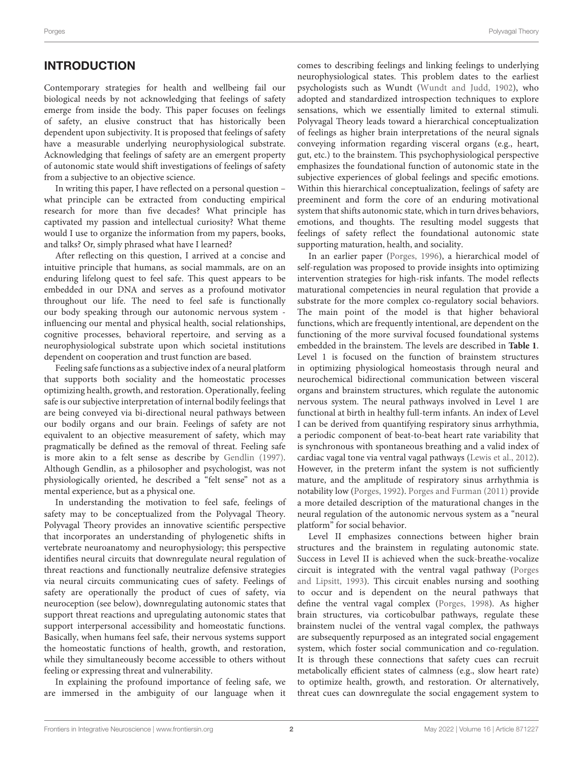#### **INTRODUCTION**

Contemporary strategies for health and wellbeing fail our biological needs by not acknowledging that feelings of safety emerge from inside the body. This paper focuses on feelings of safety, an elusive construct that has historically been dependent upon subjectivity. It is proposed that feelings of safety have a measurable underlying neurophysiological substrate. Acknowledging that feelings of safety are an emergent property of autonomic state would shift investigations of feelings of safety from a subjective to an objective science.

In writing this paper, I have reflected on a personal question – what principle can be extracted from conducting empirical research for more than five decades? What principle has captivated my passion and intellectual curiosity? What theme would I use to organize the information from my papers, books, and talks? Or, simply phrased what have I learned?

After reflecting on this question, I arrived at a concise and intuitive principle that humans, as social mammals, are on an enduring lifelong quest to feel safe. This quest appears to be embedded in our DNA and serves as a profound motivator throughout our life. The need to feel safe is functionally our body speaking through our autonomic nervous system influencing our mental and physical health, social relationships, cognitive processes, behavioral repertoire, and serving as a neurophysiological substrate upon which societal institutions dependent on cooperation and trust function are based.

Feeling safe functions as a subjective index of a neural platform that supports both sociality and the homeostatic processes optimizing health, growth, and restoration. Operationally, feeling safe is our subjective interpretation of internal bodily feelings that are being conveyed via bi-directional neural pathways between our bodily organs and our brain. Feelings of safety are not equivalent to an objective measurement of safety, which may pragmatically be defined as the removal of threat. Feeling safe is more akin to a felt sense as describe by [Gendlin](#page-13-0) [\(1997\)](#page-13-0). Although Gendlin, as a philosopher and psychologist, was not physiologically oriented, he described a "felt sense" not as a mental experience, but as a physical one.

In understanding the motivation to feel safe, feelings of safety may to be conceptualized from the Polyvagal Theory. Polyvagal Theory provides an innovative scientific perspective that incorporates an understanding of phylogenetic shifts in vertebrate neuroanatomy and neurophysiology; this perspective identifies neural circuits that downregulate neural regulation of threat reactions and functionally neutralize defensive strategies via neural circuits communicating cues of safety. Feelings of safety are operationally the product of cues of safety, via neuroception (see below), downregulating autonomic states that support threat reactions and upregulating autonomic states that support interpersonal accessibility and homeostatic functions. Basically, when humans feel safe, their nervous systems support the homeostatic functions of health, growth, and restoration, while they simultaneously become accessible to others without feeling or expressing threat and vulnerability.

In explaining the profound importance of feeling safe, we are immersed in the ambiguity of our language when it

comes to describing feelings and linking feelings to underlying neurophysiological states. This problem dates to the earliest psychologists such as Wundt [\(Wundt and Judd,](#page-14-0) [1902\)](#page-14-0), who adopted and standardized introspection techniques to explore sensations, which we essentially limited to external stimuli. Polyvagal Theory leads toward a hierarchical conceptualization of feelings as higher brain interpretations of the neural signals conveying information regarding visceral organs (e.g., heart, gut, etc.) to the brainstem. This psychophysiological perspective emphasizes the foundational function of autonomic state in the subjective experiences of global feelings and specific emotions. Within this hierarchical conceptualization, feelings of safety are preeminent and form the core of an enduring motivational system that shifts autonomic state, which in turn drives behaviors, emotions, and thoughts. The resulting model suggests that feelings of safety reflect the foundational autonomic state supporting maturation, health, and sociality.

In an earlier paper [\(Porges,](#page-13-1) [1996\)](#page-13-1), a hierarchical model of self-regulation was proposed to provide insights into optimizing intervention strategies for high-risk infants. The model reflects maturational competencies in neural regulation that provide a substrate for the more complex co-regulatory social behaviors. The main point of the model is that higher behavioral functions, which are frequently intentional, are dependent on the functioning of the more survival focused foundational systems embedded in the brainstem. The levels are described in **[Table 1](#page-2-0)**. Level 1 is focused on the function of brainstem structures in optimizing physiological homeostasis through neural and neurochemical bidirectional communication between visceral organs and brainstem structures, which regulate the autonomic nervous system. The neural pathways involved in Level 1 are functional at birth in healthy full-term infants. An index of Level I can be derived from quantifying respiratory sinus arrhythmia, a periodic component of beat-to-beat heart rate variability that is synchronous with spontaneous breathing and a valid index of cardiac vagal tone via ventral vagal pathways [\(Lewis et al.,](#page-13-2) [2012\)](#page-13-2). However, in the preterm infant the system is not sufficiently mature, and the amplitude of respiratory sinus arrhythmia is notability low [\(Porges,](#page-13-3) [1992\)](#page-13-3). [Porges and Furman](#page-13-4) [\(2011\)](#page-13-4) provide a more detailed description of the maturational changes in the neural regulation of the autonomic nervous system as a "neural platform" for social behavior.

Level II emphasizes connections between higher brain structures and the brainstem in regulating autonomic state. Success in Level II is achieved when the suck-breathe-vocalize circuit is integrated with the ventral vagal pathway [\(Porges](#page-14-1) [and Lipsitt,](#page-14-1) [1993\)](#page-14-1). This circuit enables nursing and soothing to occur and is dependent on the neural pathways that define the ventral vagal complex [\(Porges,](#page-13-5) [1998\)](#page-13-5). As higher brain structures, via corticobulbar pathways, regulate these brainstem nuclei of the ventral vagal complex, the pathways are subsequently repurposed as an integrated social engagement system, which foster social communication and co-regulation. It is through these connections that safety cues can recruit metabolically efficient states of calmness (e.g., slow heart rate) to optimize health, growth, and restoration. Or alternatively, threat cues can downregulate the social engagement system to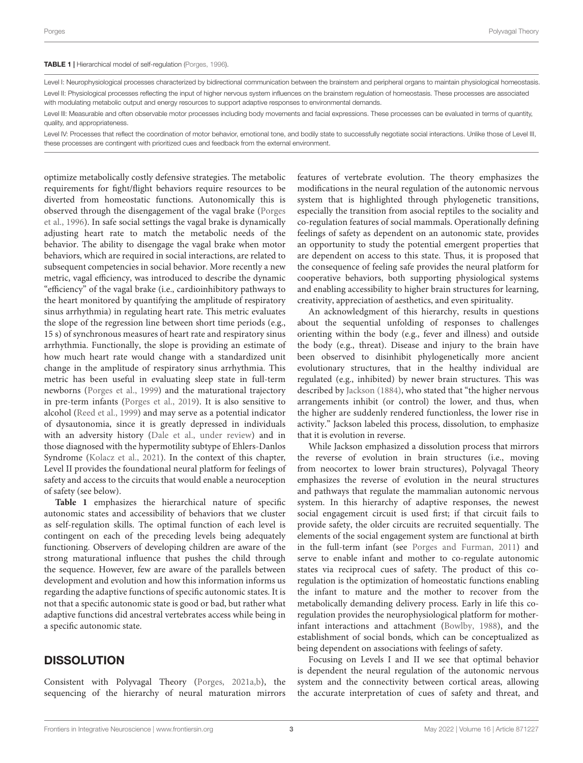#### <span id="page-2-0"></span>TABLE 1 | Hierarchical model of self-regulation [\(Porges,](#page-13-1) [1996\)](#page-13-1).

Level I: Neurophysiological processes characterized by bidirectional communication between the brainstem and peripheral organs to maintain physiological homeostasis. Level II: Physiological processes reflecting the input of higher nervous system influences on the brainstem regulation of homeostasis. These processes are associated with modulating metabolic output and energy resources to support adaptive responses to environmental demands.

Level III: Measurable and often observable motor processes including body movements and facial expressions. These processes can be evaluated in terms of quantity, quality, and appropriateness.

Level IV: Processes that reflect the coordination of motor behavior, emotional tone, and bodily state to successfully negotiate social interactions. Unlike those of Level III, these processes are contingent with prioritized cues and feedback from the external environment.

optimize metabolically costly defensive strategies. The metabolic requirements for fight/flight behaviors require resources to be diverted from homeostatic functions. Autonomically this is observed through the disengagement of the vagal brake [\(Porges](#page-13-6) [et al.,](#page-13-6) [1996\)](#page-13-6). In safe social settings the vagal brake is dynamically adjusting heart rate to match the metabolic needs of the behavior. The ability to disengage the vagal brake when motor behaviors, which are required in social interactions, are related to subsequent competencies in social behavior. More recently a new metric, vagal efficiency, was introduced to describe the dynamic "efficiency" of the vagal brake (i.e., cardioinhibitory pathways to the heart monitored by quantifying the amplitude of respiratory sinus arrhythmia) in regulating heart rate. This metric evaluates the slope of the regression line between short time periods (e.g., 15 s) of synchronous measures of heart rate and respiratory sinus arrhythmia. Functionally, the slope is providing an estimate of how much heart rate would change with a standardized unit change in the amplitude of respiratory sinus arrhythmia. This metric has been useful in evaluating sleep state in full-term newborns [\(Porges et al.,](#page-13-7) [1999\)](#page-13-7) and the maturational trajectory in pre-term infants [\(Porges et al.,](#page-13-8) [2019\)](#page-13-8). It is also sensitive to alcohol [\(Reed et al.,](#page-14-2) [1999\)](#page-14-2) and may serve as a potential indicator of dysautonomia, since it is greatly depressed in individuals with an adversity history [\(Dale et al.,](#page-13-9) [under review\)](#page-13-9) and in those diagnosed with the hypermotility subtype of Ehlers-Danlos Syndrome [\(Kolacz et al.,](#page-13-10) [2021\)](#page-13-10). In the context of this chapter, Level II provides the foundational neural platform for feelings of safety and access to the circuits that would enable a neuroception of safety (see below).

**[Table 1](#page-2-0)** emphasizes the hierarchical nature of specific autonomic states and accessibility of behaviors that we cluster as self-regulation skills. The optimal function of each level is contingent on each of the preceding levels being adequately functioning. Observers of developing children are aware of the strong maturational influence that pushes the child through the sequence. However, few are aware of the parallels between development and evolution and how this information informs us regarding the adaptive functions of specific autonomic states. It is not that a specific autonomic state is good or bad, but rather what adaptive functions did ancestral vertebrates access while being in a specific autonomic state.

#### **DISSOLUTION**

Consistent with Polyvagal Theory [\(Porges,](#page-13-11) [2021a](#page-13-11)[,b\)](#page-13-12), the sequencing of the hierarchy of neural maturation mirrors features of vertebrate evolution. The theory emphasizes the modifications in the neural regulation of the autonomic nervous system that is highlighted through phylogenetic transitions, especially the transition from asocial reptiles to the sociality and co-regulation features of social mammals. Operationally defining feelings of safety as dependent on an autonomic state, provides an opportunity to study the potential emergent properties that are dependent on access to this state. Thus, it is proposed that the consequence of feeling safe provides the neural platform for cooperative behaviors, both supporting physiological systems and enabling accessibility to higher brain structures for learning, creativity, appreciation of aesthetics, and even spirituality.

An acknowledgment of this hierarchy, results in questions about the sequential unfolding of responses to challenges orienting within the body (e.g., fever and illness) and outside the body (e.g., threat). Disease and injury to the brain have been observed to disinhibit phylogenetically more ancient evolutionary structures, that in the healthy individual are regulated (e.g., inhibited) by newer brain structures. This was described by [Jackson](#page-13-13) [\(1884\)](#page-13-13), who stated that "the higher nervous arrangements inhibit (or control) the lower, and thus, when the higher are suddenly rendered functionless, the lower rise in activity." Jackson labeled this process, dissolution, to emphasize that it is evolution in reverse.

While Jackson emphasized a dissolution process that mirrors the reverse of evolution in brain structures (i.e., moving from neocortex to lower brain structures), Polyvagal Theory emphasizes the reverse of evolution in the neural structures and pathways that regulate the mammalian autonomic nervous system. In this hierarchy of adaptive responses, the newest social engagement circuit is used first; if that circuit fails to provide safety, the older circuits are recruited sequentially. The elements of the social engagement system are functional at birth in the full-term infant (see [Porges and Furman,](#page-13-4) [2011\)](#page-13-4) and serve to enable infant and mother to co-regulate autonomic states via reciprocal cues of safety. The product of this coregulation is the optimization of homeostatic functions enabling the infant to mature and the mother to recover from the metabolically demanding delivery process. Early in life this coregulation provides the neurophysiological platform for motherinfant interactions and attachment [\(Bowlby,](#page-13-14) [1988\)](#page-13-14), and the establishment of social bonds, which can be conceptualized as being dependent on associations with feelings of safety.

Focusing on Levels I and II we see that optimal behavior is dependent the neural regulation of the autonomic nervous system and the connectivity between cortical areas, allowing the accurate interpretation of cues of safety and threat, and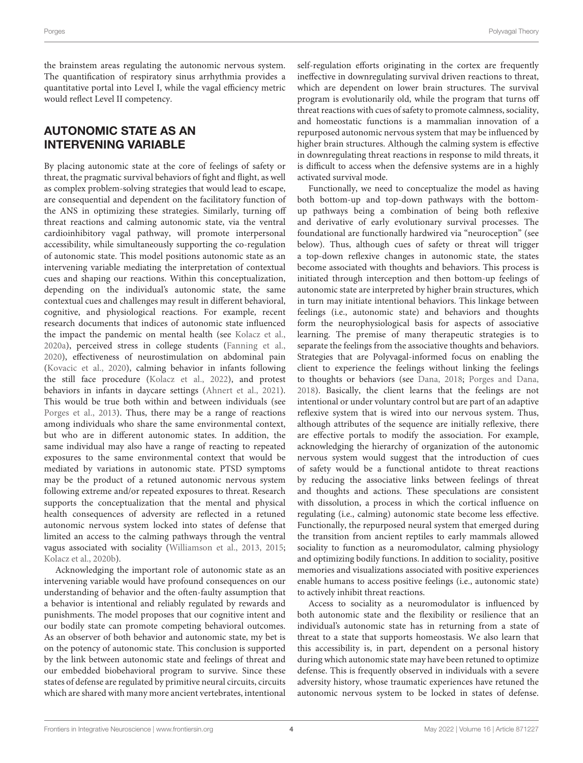the brainstem areas regulating the autonomic nervous system. The quantification of respiratory sinus arrhythmia provides a quantitative portal into Level I, while the vagal efficiency metric would reflect Level II competency.

### AUTONOMIC STATE AS AN INTERVENING VARIABLE

By placing autonomic state at the core of feelings of safety or threat, the pragmatic survival behaviors of fight and flight, as well as complex problem-solving strategies that would lead to escape, are consequential and dependent on the facilitatory function of the ANS in optimizing these strategies. Similarly, turning off threat reactions and calming autonomic state, via the ventral cardioinhibitory vagal pathway, will promote interpersonal accessibility, while simultaneously supporting the co-regulation of autonomic state. This model positions autonomic state as an intervening variable mediating the interpretation of contextual cues and shaping our reactions. Within this conceptualization, depending on the individual's autonomic state, the same contextual cues and challenges may result in different behavioral, cognitive, and physiological reactions. For example, recent research documents that indices of autonomic state influenced the impact the pandemic on mental health (see [Kolacz et al.,](#page-13-15) [2020a\)](#page-13-15), perceived stress in college students [\(Fanning et al.,](#page-13-16) [2020\)](#page-13-16), effectiveness of neurostimulation on abdominal pain [\(Kovacic et al.,](#page-13-17) [2020\)](#page-13-17), calming behavior in infants following the still face procedure [\(Kolacz et al.,](#page-13-18) [2022\)](#page-13-18), and protest behaviors in infants in daycare settings [\(Ahnert et al.,](#page-13-19) [2021\)](#page-13-19). This would be true both within and between individuals (see [Porges et al.,](#page-14-3) [2013\)](#page-14-3). Thus, there may be a range of reactions among individuals who share the same environmental context, but who are in different autonomic states. In addition, the same individual may also have a range of reacting to repeated exposures to the same environmental context that would be mediated by variations in autonomic state. PTSD symptoms may be the product of a retuned autonomic nervous system following extreme and/or repeated exposures to threat. Research supports the conceptualization that the mental and physical health consequences of adversity are reflected in a retuned autonomic nervous system locked into states of defense that limited an access to the calming pathways through the ventral vagus associated with sociality [\(Williamson et al.,](#page-14-4) [2013,](#page-14-4) [2015;](#page-14-5) [Kolacz et al.,](#page-13-20) [2020b\)](#page-13-20).

Acknowledging the important role of autonomic state as an intervening variable would have profound consequences on our understanding of behavior and the often-faulty assumption that a behavior is intentional and reliably regulated by rewards and punishments. The model proposes that our cognitive intent and our bodily state can promote competing behavioral outcomes. As an observer of both behavior and autonomic state, my bet is on the potency of autonomic state. This conclusion is supported by the link between autonomic state and feelings of threat and our embedded biobehavioral program to survive. Since these states of defense are regulated by primitive neural circuits, circuits which are shared with many more ancient vertebrates, intentional

self-regulation efforts originating in the cortex are frequently ineffective in downregulating survival driven reactions to threat, which are dependent on lower brain structures. The survival program is evolutionarily old, while the program that turns off threat reactions with cues of safety to promote calmness, sociality, and homeostatic functions is a mammalian innovation of a repurposed autonomic nervous system that may be influenced by higher brain structures. Although the calming system is effective in downregulating threat reactions in response to mild threats, it is difficult to access when the defensive systems are in a highly activated survival mode.

Functionally, we need to conceptualize the model as having both bottom-up and top-down pathways with the bottomup pathways being a combination of being both reflexive and derivative of early evolutionary survival processes. The foundational are functionally hardwired via "neuroception" (see below). Thus, although cues of safety or threat will trigger a top-down reflexive changes in autonomic state, the states become associated with thoughts and behaviors. This process is initiated through interception and then bottom-up feelings of autonomic state are interpreted by higher brain structures, which in turn may initiate intentional behaviors. This linkage between feelings (i.e., autonomic state) and behaviors and thoughts form the neurophysiological basis for aspects of associative learning. The premise of many therapeutic strategies is to separate the feelings from the associative thoughts and behaviors. Strategies that are Polyvagal-informed focus on enabling the client to experience the feelings without linking the feelings to thoughts or behaviors (see [Dana,](#page-13-21) [2018;](#page-13-21) [Porges and Dana,](#page-13-22) [2018\)](#page-13-22). Basically, the client learns that the feelings are not intentional or under voluntary control but are part of an adaptive reflexive system that is wired into our nervous system. Thus, although attributes of the sequence are initially reflexive, there are effective portals to modify the association. For example, acknowledging the hierarchy of organization of the autonomic nervous system would suggest that the introduction of cues of safety would be a functional antidote to threat reactions by reducing the associative links between feelings of threat and thoughts and actions. These speculations are consistent with dissolution, a process in which the cortical influence on regulating (i.e., calming) autonomic state become less effective. Functionally, the repurposed neural system that emerged during the transition from ancient reptiles to early mammals allowed sociality to function as a neuromodulator, calming physiology and optimizing bodily functions. In addition to sociality, positive memories and visualizations associated with positive experiences enable humans to access positive feelings (i.e., autonomic state) to actively inhibit threat reactions.

Access to sociality as a neuromodulator is influenced by both autonomic state and the flexibility or resilience that an individual's autonomic state has in returning from a state of threat to a state that supports homeostasis. We also learn that this accessibility is, in part, dependent on a personal history during which autonomic state may have been retuned to optimize defense. This is frequently observed in individuals with a severe adversity history, whose traumatic experiences have retuned the autonomic nervous system to be locked in states of defense.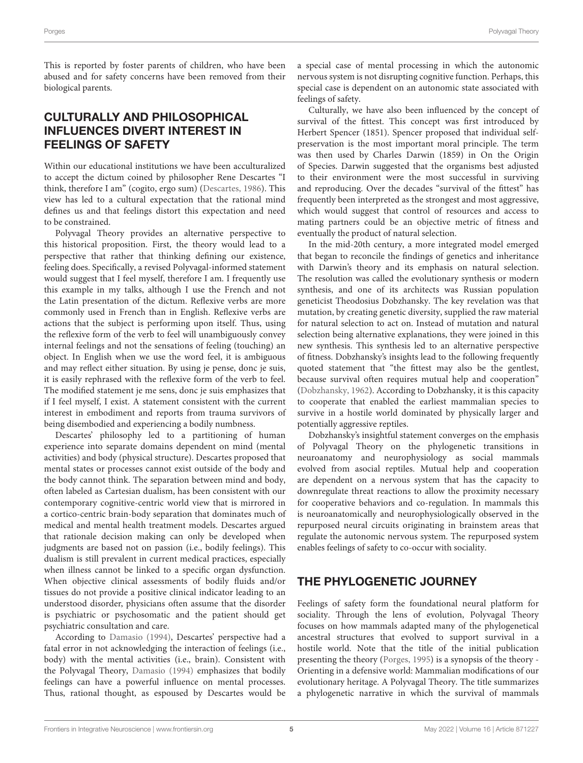This is reported by foster parents of children, who have been abused and for safety concerns have been removed from their biological parents.

# CULTURALLY AND PHILOSOPHICAL INFLUENCES DIVERT INTEREST IN FEELINGS OF SAFETY

Within our educational institutions we have been acculturalized to accept the dictum coined by philosopher Rene Descartes "I think, therefore I am" (cogito, ergo sum) [\(Descartes,](#page-13-23) [1986\)](#page-13-23). This view has led to a cultural expectation that the rational mind defines us and that feelings distort this expectation and need to be constrained.

Polyvagal Theory provides an alternative perspective to this historical proposition. First, the theory would lead to a perspective that rather that thinking defining our existence, feeling does. Specifically, a revised Polyvagal-informed statement would suggest that I feel myself, therefore I am. I frequently use this example in my talks, although I use the French and not the Latin presentation of the dictum. Reflexive verbs are more commonly used in French than in English. Reflexive verbs are actions that the subject is performing upon itself. Thus, using the reflexive form of the verb to feel will unambiguously convey internal feelings and not the sensations of feeling (touching) an object. In English when we use the word feel, it is ambiguous and may reflect either situation. By using je pense, donc je suis, it is easily rephrased with the reflexive form of the verb to feel. The modified statement je me sens, donc je suis emphasizes that if I feel myself, I exist. A statement consistent with the current interest in embodiment and reports from trauma survivors of being disembodied and experiencing a bodily numbness.

Descartes' philosophy led to a partitioning of human experience into separate domains dependent on mind (mental activities) and body (physical structure). Descartes proposed that mental states or processes cannot exist outside of the body and the body cannot think. The separation between mind and body, often labeled as Cartesian dualism, has been consistent with our contemporary cognitive-centric world view that is mirrored in a cortico-centric brain-body separation that dominates much of medical and mental health treatment models. Descartes argued that rationale decision making can only be developed when judgments are based not on passion (i.e., bodily feelings). This dualism is still prevalent in current medical practices, especially when illness cannot be linked to a specific organ dysfunction. When objective clinical assessments of bodily fluids and/or tissues do not provide a positive clinical indicator leading to an understood disorder, physicians often assume that the disorder is psychiatric or psychosomatic and the patient should get psychiatric consultation and care.

According to [Damasio](#page-13-24) [\(1994\)](#page-13-24), Descartes' perspective had a fatal error in not acknowledging the interaction of feelings (i.e., body) with the mental activities (i.e., brain). Consistent with the Polyvagal Theory, [Damasio](#page-13-24) [\(1994\)](#page-13-24) emphasizes that bodily feelings can have a powerful influence on mental processes. Thus, rational thought, as espoused by Descartes would be

a special case of mental processing in which the autonomic nervous system is not disrupting cognitive function. Perhaps, this special case is dependent on an autonomic state associated with feelings of safety.

Culturally, we have also been influenced by the concept of survival of the fittest. This concept was first introduced by Herbert Spencer (1851). Spencer proposed that individual selfpreservation is the most important moral principle. The term was then used by Charles Darwin (1859) in On the Origin of Species. Darwin suggested that the organisms best adjusted to their environment were the most successful in surviving and reproducing. Over the decades "survival of the fittest" has frequently been interpreted as the strongest and most aggressive, which would suggest that control of resources and access to mating partners could be an objective metric of fitness and eventually the product of natural selection.

In the mid-20th century, a more integrated model emerged that began to reconcile the findings of genetics and inheritance with Darwin's theory and its emphasis on natural selection. The resolution was called the evolutionary synthesis or modern synthesis, and one of its architects was Russian population geneticist Theodosius Dobzhansky. The key revelation was that mutation, by creating genetic diversity, supplied the raw material for natural selection to act on. Instead of mutation and natural selection being alternative explanations, they were joined in this new synthesis. This synthesis led to an alternative perspective of fitness. Dobzhansky's insights lead to the following frequently quoted statement that "the fittest may also be the gentlest, because survival often requires mutual help and cooperation" [\(Dobzhansky,](#page-13-25) [1962\)](#page-13-25). According to Dobzhansky, it is this capacity to cooperate that enabled the earliest mammalian species to survive in a hostile world dominated by physically larger and potentially aggressive reptiles.

Dobzhansky's insightful statement converges on the emphasis of Polyvagal Theory on the phylogenetic transitions in neuroanatomy and neurophysiology as social mammals evolved from asocial reptiles. Mutual help and cooperation are dependent on a nervous system that has the capacity to downregulate threat reactions to allow the proximity necessary for cooperative behaviors and co-regulation. In mammals this is neuroanatomically and neurophysiologically observed in the repurposed neural circuits originating in brainstem areas that regulate the autonomic nervous system. The repurposed system enables feelings of safety to co-occur with sociality.

# THE PHYLOGENETIC JOURNEY

Feelings of safety form the foundational neural platform for sociality. Through the lens of evolution, Polyvagal Theory focuses on how mammals adapted many of the phylogenetical ancestral structures that evolved to support survival in a hostile world. Note that the title of the initial publication presenting the theory [\(Porges,](#page-13-26) [1995\)](#page-13-26) is a synopsis of the theory - Orienting in a defensive world: Mammalian modifications of our evolutionary heritage. A Polyvagal Theory. The title summarizes a phylogenetic narrative in which the survival of mammals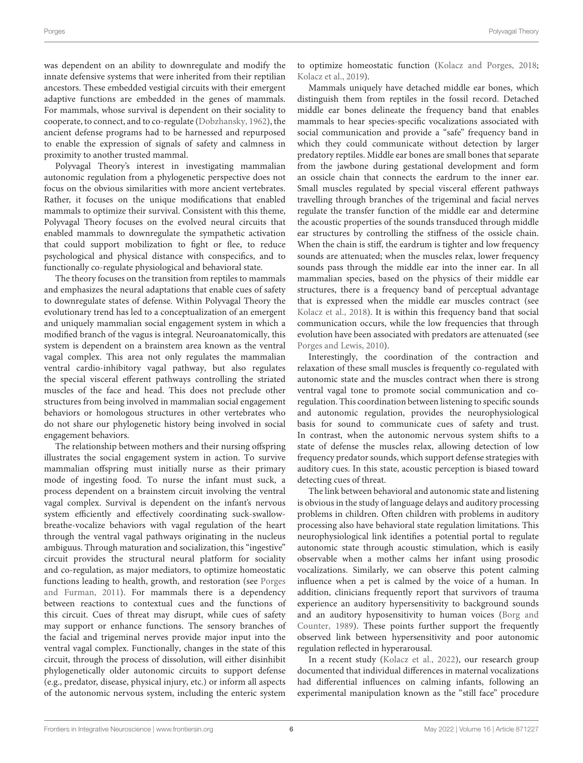was dependent on an ability to downregulate and modify the innate defensive systems that were inherited from their reptilian ancestors. These embedded vestigial circuits with their emergent adaptive functions are embedded in the genes of mammals. For mammals, whose survival is dependent on their sociality to cooperate, to connect, and to co-regulate [\(Dobzhansky,](#page-13-25) [1962\)](#page-13-25), the ancient defense programs had to be harnessed and repurposed to enable the expression of signals of safety and calmness in proximity to another trusted mammal.

Polyvagal Theory's interest in investigating mammalian autonomic regulation from a phylogenetic perspective does not focus on the obvious similarities with more ancient vertebrates. Rather, it focuses on the unique modifications that enabled mammals to optimize their survival. Consistent with this theme, Polyvagal Theory focuses on the evolved neural circuits that enabled mammals to downregulate the sympathetic activation that could support mobilization to fight or flee, to reduce psychological and physical distance with conspecifics, and to functionally co-regulate physiological and behavioral state.

The theory focuses on the transition from reptiles to mammals and emphasizes the neural adaptations that enable cues of safety to downregulate states of defense. Within Polyvagal Theory the evolutionary trend has led to a conceptualization of an emergent and uniquely mammalian social engagement system in which a modified branch of the vagus is integral. Neuroanatomically, this system is dependent on a brainstem area known as the ventral vagal complex. This area not only regulates the mammalian ventral cardio-inhibitory vagal pathway, but also regulates the special visceral efferent pathways controlling the striated muscles of the face and head. This does not preclude other structures from being involved in mammalian social engagement behaviors or homologous structures in other vertebrates who do not share our phylogenetic history being involved in social engagement behaviors.

The relationship between mothers and their nursing offspring illustrates the social engagement system in action. To survive mammalian offspring must initially nurse as their primary mode of ingesting food. To nurse the infant must suck, a process dependent on a brainstem circuit involving the ventral vagal complex. Survival is dependent on the infant's nervous system efficiently and effectively coordinating suck-swallowbreathe-vocalize behaviors with vagal regulation of the heart through the ventral vagal pathways originating in the nucleus ambiguus. Through maturation and socialization, this "ingestive" circuit provides the structural neural platform for sociality and co-regulation, as major mediators, to optimize homeostatic functions leading to health, growth, and restoration (see [Porges](#page-13-4) [and Furman,](#page-13-4) [2011\)](#page-13-4). For mammals there is a dependency between reactions to contextual cues and the functions of this circuit. Cues of threat may disrupt, while cues of safety may support or enhance functions. The sensory branches of the facial and trigeminal nerves provide major input into the ventral vagal complex. Functionally, changes in the state of this circuit, through the process of dissolution, will either disinhibit phylogenetically older autonomic circuits to support defense (e.g., predator, disease, physical injury, etc.) or inform all aspects of the autonomic nervous system, including the enteric system

to optimize homeostatic function [\(Kolacz and Porges,](#page-13-27) [2018;](#page-13-27) [Kolacz et al.,](#page-13-28) [2019\)](#page-13-28).

Mammals uniquely have detached middle ear bones, which distinguish them from reptiles in the fossil record. Detached middle ear bones delineate the frequency band that enables mammals to hear species-specific vocalizations associated with social communication and provide a "safe" frequency band in which they could communicate without detection by larger predatory reptiles. Middle ear bones are small bones that separate from the jawbone during gestational development and form an ossicle chain that connects the eardrum to the inner ear. Small muscles regulated by special visceral efferent pathways travelling through branches of the trigeminal and facial nerves regulate the transfer function of the middle ear and determine the acoustic properties of the sounds transduced through middle ear structures by controlling the stiffness of the ossicle chain. When the chain is stiff, the eardrum is tighter and low frequency sounds are attenuated; when the muscles relax, lower frequency sounds pass through the middle ear into the inner ear. In all mammalian species, based on the physics of their middle ear structures, there is a frequency band of perceptual advantage that is expressed when the middle ear muscles contract (see [Kolacz et al.,](#page-13-29) [2018\)](#page-13-29). It is within this frequency band that social communication occurs, while the low frequencies that through evolution have been associated with predators are attenuated (see [Porges and Lewis,](#page-14-6) [2010\)](#page-14-6).

Interestingly, the coordination of the contraction and relaxation of these small muscles is frequently co-regulated with autonomic state and the muscles contract when there is strong ventral vagal tone to promote social communication and coregulation. This coordination between listening to specific sounds and autonomic regulation, provides the neurophysiological basis for sound to communicate cues of safety and trust. In contrast, when the autonomic nervous system shifts to a state of defense the muscles relax, allowing detection of low frequency predator sounds, which support defense strategies with auditory cues. In this state, acoustic perception is biased toward detecting cues of threat.

The link between behavioral and autonomic state and listening is obvious in the study of language delays and auditory processing problems in children. Often children with problems in auditory processing also have behavioral state regulation limitations. This neurophysiological link identifies a potential portal to regulate autonomic state through acoustic stimulation, which is easily observable when a mother calms her infant using prosodic vocalizations. Similarly, we can observe this potent calming influence when a pet is calmed by the voice of a human. In addition, clinicians frequently report that survivors of trauma experience an auditory hypersensitivity to background sounds and an auditory hyposensitivity to human voices [\(Borg and](#page-13-30) [Counter,](#page-13-30) [1989\)](#page-13-30). These points further support the frequently observed link between hypersensitivity and poor autonomic regulation reflected in hyperarousal.

In a recent study [\(Kolacz et al.,](#page-13-18) [2022\)](#page-13-18), our research group documented that individual differences in maternal vocalizations had differential influences on calming infants, following an experimental manipulation known as the "still face" procedure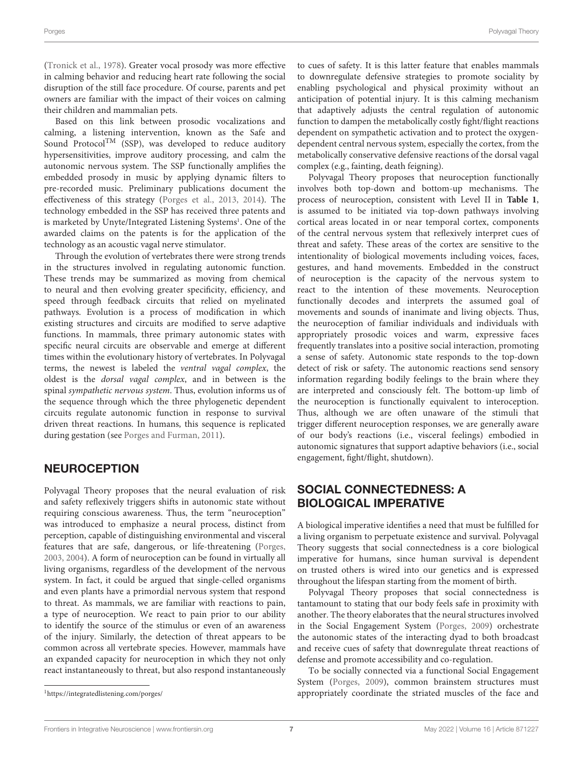[\(Tronick et al.,](#page-14-7) [1978\)](#page-14-7). Greater vocal prosody was more effective in calming behavior and reducing heart rate following the social disruption of the still face procedure. Of course, parents and pet owners are familiar with the impact of their voices on calming their children and mammalian pets.

Based on this link between prosodic vocalizations and calming, a listening intervention, known as the Safe and Sound Protocol<sup>TM</sup> (SSP), was developed to reduce auditory hypersensitivities, improve auditory processing, and calm the autonomic nervous system. The SSP functionally amplifies the embedded prosody in music by applying dynamic filters to pre-recorded music. Preliminary publications document the effectiveness of this strategy [\(Porges et al.,](#page-14-3) [2013,](#page-14-3) [2014\)](#page-13-31). The technology embedded in the SSP has received three patents and is marketed by Unyte/Integrated Listening Systems<sup>[1](#page-6-0)</sup>. One of the awarded claims on the patents is for the application of the technology as an acoustic vagal nerve stimulator.

Through the evolution of vertebrates there were strong trends in the structures involved in regulating autonomic function. These trends may be summarized as moving from chemical to neural and then evolving greater specificity, efficiency, and speed through feedback circuits that relied on myelinated pathways. Evolution is a process of modification in which existing structures and circuits are modified to serve adaptive functions. In mammals, three primary autonomic states with specific neural circuits are observable and emerge at different times within the evolutionary history of vertebrates. In Polyvagal terms, the newest is labeled the ventral vagal complex, the oldest is the dorsal vagal complex, and in between is the spinal sympathetic nervous system. Thus, evolution informs us of the sequence through which the three phylogenetic dependent circuits regulate autonomic function in response to survival driven threat reactions. In humans, this sequence is replicated during gestation (see [Porges and Furman,](#page-13-4) [2011\)](#page-13-4).

### **NEUROCEPTION**

Polyvagal Theory proposes that the neural evaluation of risk and safety reflexively triggers shifts in autonomic state without requiring conscious awareness. Thus, the term "neuroception" was introduced to emphasize a neural process, distinct from perception, capable of distinguishing environmental and visceral features that are safe, dangerous, or life-threatening [\(Porges,](#page-13-32) [2003,](#page-13-32) [2004\)](#page-13-33). A form of neuroception can be found in virtually all living organisms, regardless of the development of the nervous system. In fact, it could be argued that single-celled organisms and even plants have a primordial nervous system that respond to threat. As mammals, we are familiar with reactions to pain, a type of neuroception. We react to pain prior to our ability to identify the source of the stimulus or even of an awareness of the injury. Similarly, the detection of threat appears to be common across all vertebrate species. However, mammals have an expanded capacity for neuroception in which they not only react instantaneously to threat, but also respond instantaneously to cues of safety. It is this latter feature that enables mammals to downregulate defensive strategies to promote sociality by enabling psychological and physical proximity without an anticipation of potential injury. It is this calming mechanism that adaptively adjusts the central regulation of autonomic function to dampen the metabolically costly fight/flight reactions dependent on sympathetic activation and to protect the oxygendependent central nervous system, especially the cortex, from the metabolically conservative defensive reactions of the dorsal vagal complex (e.g., fainting, death feigning).

Polyvagal Theory proposes that neuroception functionally involves both top-down and bottom-up mechanisms. The process of neuroception, consistent with Level II in **[Table 1](#page-2-0)**, is assumed to be initiated via top-down pathways involving cortical areas located in or near temporal cortex, components of the central nervous system that reflexively interpret cues of threat and safety. These areas of the cortex are sensitive to the intentionality of biological movements including voices, faces, gestures, and hand movements. Embedded in the construct of neuroception is the capacity of the nervous system to react to the intention of these movements. Neuroception functionally decodes and interprets the assumed goal of movements and sounds of inanimate and living objects. Thus, the neuroception of familiar individuals and individuals with appropriately prosodic voices and warm, expressive faces frequently translates into a positive social interaction, promoting a sense of safety. Autonomic state responds to the top-down detect of risk or safety. The autonomic reactions send sensory information regarding bodily feelings to the brain where they are interpreted and consciously felt. The bottom-up limb of the neuroception is functionally equivalent to interoception. Thus, although we are often unaware of the stimuli that trigger different neuroception responses, we are generally aware of our body's reactions (i.e., visceral feelings) embodied in autonomic signatures that support adaptive behaviors (i.e., social engagement, fight/flight, shutdown).

#### SOCIAL CONNECTEDNESS: A BIOLOGICAL IMPERATIVE

A biological imperative identifies a need that must be fulfilled for a living organism to perpetuate existence and survival. Polyvagal Theory suggests that social connectedness is a core biological imperative for humans, since human survival is dependent on trusted others is wired into our genetics and is expressed throughout the lifespan starting from the moment of birth.

Polyvagal Theory proposes that social connectedness is tantamount to stating that our body feels safe in proximity with another. The theory elaborates that the neural structures involved in the Social Engagement System [\(Porges,](#page-13-34) [2009\)](#page-13-34) orchestrate the autonomic states of the interacting dyad to both broadcast and receive cues of safety that downregulate threat reactions of defense and promote accessibility and co-regulation.

To be socially connected via a functional Social Engagement System [\(Porges,](#page-13-34) [2009\)](#page-13-34), common brainstem structures must appropriately coordinate the striated muscles of the face and

<span id="page-6-0"></span><sup>1</sup><https://integratedlistening.com/porges/>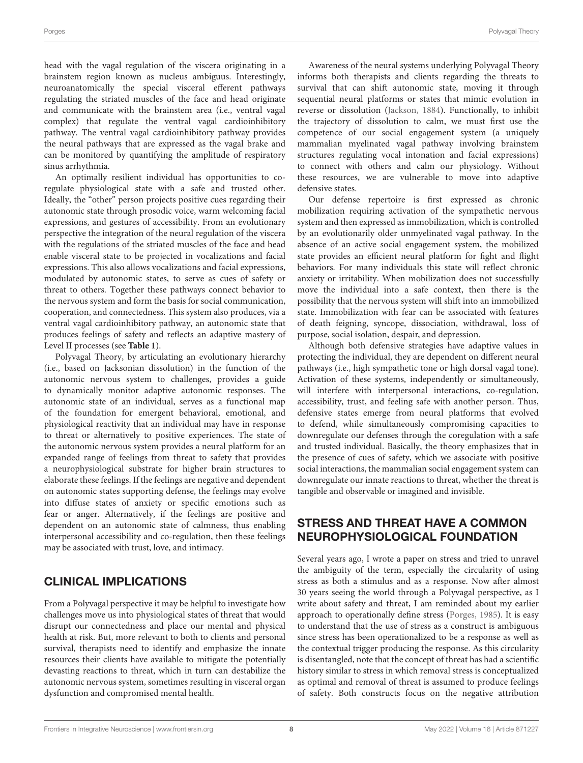head with the vagal regulation of the viscera originating in a brainstem region known as nucleus ambiguus. Interestingly, neuroanatomically the special visceral efferent pathways regulating the striated muscles of the face and head originate and communicate with the brainstem area (i.e., ventral vagal complex) that regulate the ventral vagal cardioinhibitory pathway. The ventral vagal cardioinhibitory pathway provides the neural pathways that are expressed as the vagal brake and can be monitored by quantifying the amplitude of respiratory sinus arrhythmia.

An optimally resilient individual has opportunities to coregulate physiological state with a safe and trusted other. Ideally, the "other" person projects positive cues regarding their autonomic state through prosodic voice, warm welcoming facial expressions, and gestures of accessibility. From an evolutionary perspective the integration of the neural regulation of the viscera with the regulations of the striated muscles of the face and head enable visceral state to be projected in vocalizations and facial expressions. This also allows vocalizations and facial expressions, modulated by autonomic states, to serve as cues of safety or threat to others. Together these pathways connect behavior to the nervous system and form the basis for social communication, cooperation, and connectedness. This system also produces, via a ventral vagal cardioinhibitory pathway, an autonomic state that produces feelings of safety and reflects an adaptive mastery of Level II processes (see **[Table 1](#page-2-0)**).

Polyvagal Theory, by articulating an evolutionary hierarchy (i.e., based on Jacksonian dissolution) in the function of the autonomic nervous system to challenges, provides a guide to dynamically monitor adaptive autonomic responses. The autonomic state of an individual, serves as a functional map of the foundation for emergent behavioral, emotional, and physiological reactivity that an individual may have in response to threat or alternatively to positive experiences. The state of the autonomic nervous system provides a neural platform for an expanded range of feelings from threat to safety that provides a neurophysiological substrate for higher brain structures to elaborate these feelings. If the feelings are negative and dependent on autonomic states supporting defense, the feelings may evolve into diffuse states of anxiety or specific emotions such as fear or anger. Alternatively, if the feelings are positive and dependent on an autonomic state of calmness, thus enabling interpersonal accessibility and co-regulation, then these feelings may be associated with trust, love, and intimacy.

### CLINICAL IMPLICATIONS

From a Polyvagal perspective it may be helpful to investigate how challenges move us into physiological states of threat that would disrupt our connectedness and place our mental and physical health at risk. But, more relevant to both to clients and personal survival, therapists need to identify and emphasize the innate resources their clients have available to mitigate the potentially devasting reactions to threat, which in turn can destabilize the autonomic nervous system, sometimes resulting in visceral organ dysfunction and compromised mental health.

Awareness of the neural systems underlying Polyvagal Theory informs both therapists and clients regarding the threats to survival that can shift autonomic state, moving it through sequential neural platforms or states that mimic evolution in reverse or dissolution [\(Jackson,](#page-13-13) [1884\)](#page-13-13). Functionally, to inhibit the trajectory of dissolution to calm, we must first use the competence of our social engagement system (a uniquely mammalian myelinated vagal pathway involving brainstem structures regulating vocal intonation and facial expressions) to connect with others and calm our physiology. Without these resources, we are vulnerable to move into adaptive defensive states.

Our defense repertoire is first expressed as chronic mobilization requiring activation of the sympathetic nervous system and then expressed as immobilization, which is controlled by an evolutionarily older unmyelinated vagal pathway. In the absence of an active social engagement system, the mobilized state provides an efficient neural platform for fight and flight behaviors. For many individuals this state will reflect chronic anxiety or irritability. When mobilization does not successfully move the individual into a safe context, then there is the possibility that the nervous system will shift into an immobilized state. Immobilization with fear can be associated with features of death feigning, syncope, dissociation, withdrawal, loss of purpose, social isolation, despair, and depression.

Although both defensive strategies have adaptive values in protecting the individual, they are dependent on different neural pathways (i.e., high sympathetic tone or high dorsal vagal tone). Activation of these systems, independently or simultaneously, will interfere with interpersonal interactions, co-regulation, accessibility, trust, and feeling safe with another person. Thus, defensive states emerge from neural platforms that evolved to defend, while simultaneously compromising capacities to downregulate our defenses through the coregulation with a safe and trusted individual. Basically, the theory emphasizes that in the presence of cues of safety, which we associate with positive social interactions, the mammalian social engagement system can downregulate our innate reactions to threat, whether the threat is tangible and observable or imagined and invisible.

### STRESS AND THREAT HAVE A COMMON NEUROPHYSIOLOGICAL FOUNDATION

Several years ago, I wrote a paper on stress and tried to unravel the ambiguity of the term, especially the circularity of using stress as both a stimulus and as a response. Now after almost 30 years seeing the world through a Polyvagal perspective, as I write about safety and threat, I am reminded about my earlier approach to operationally define stress [\(Porges,](#page-13-35) [1985\)](#page-13-35). It is easy to understand that the use of stress as a construct is ambiguous since stress has been operationalized to be a response as well as the contextual trigger producing the response. As this circularity is disentangled, note that the concept of threat has had a scientific history similar to stress in which removal stress is conceptualized as optimal and removal of threat is assumed to produce feelings of safety. Both constructs focus on the negative attribution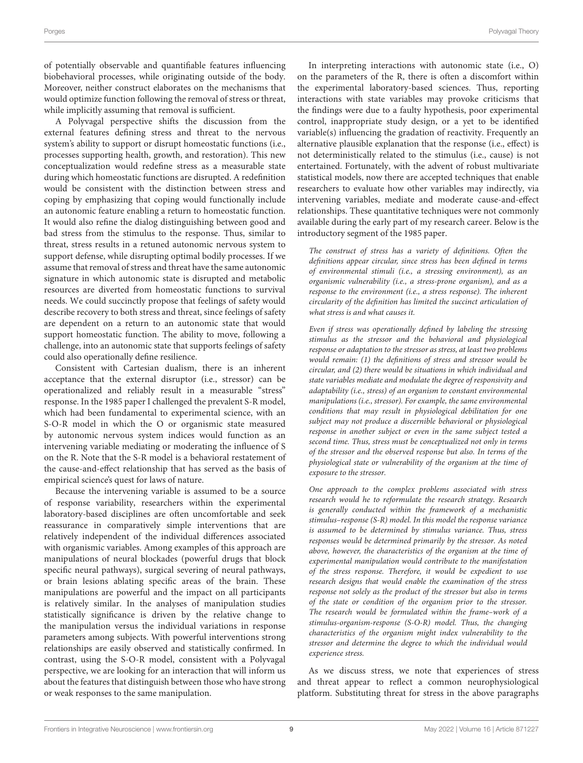of potentially observable and quantifiable features influencing biobehavioral processes, while originating outside of the body. Moreover, neither construct elaborates on the mechanisms that would optimize function following the removal of stress or threat, while implicitly assuming that removal is sufficient.

A Polyvagal perspective shifts the discussion from the external features defining stress and threat to the nervous system's ability to support or disrupt homeostatic functions (i.e., processes supporting health, growth, and restoration). This new conceptualization would redefine stress as a measurable state during which homeostatic functions are disrupted. A redefinition would be consistent with the distinction between stress and coping by emphasizing that coping would functionally include an autonomic feature enabling a return to homeostatic function. It would also refine the dialog distinguishing between good and bad stress from the stimulus to the response. Thus, similar to threat, stress results in a retuned autonomic nervous system to support defense, while disrupting optimal bodily processes. If we assume that removal of stress and threat have the same autonomic signature in which autonomic state is disrupted and metabolic resources are diverted from homeostatic functions to survival needs. We could succinctly propose that feelings of safety would describe recovery to both stress and threat, since feelings of safety are dependent on a return to an autonomic state that would support homeostatic function. The ability to move, following a challenge, into an autonomic state that supports feelings of safety could also operationally define resilience.

Consistent with Cartesian dualism, there is an inherent acceptance that the external disruptor (i.e., stressor) can be operationalized and reliably result in a measurable "stress" response. In the 1985 paper I challenged the prevalent S-R model, which had been fundamental to experimental science, with an S-O-R model in which the O or organismic state measured by autonomic nervous system indices would function as an intervening variable mediating or moderating the influence of S on the R. Note that the S-R model is a behavioral restatement of the cause-and-effect relationship that has served as the basis of empirical science's quest for laws of nature.

Because the intervening variable is assumed to be a source of response variability, researchers within the experimental laboratory-based disciplines are often uncomfortable and seek reassurance in comparatively simple interventions that are relatively independent of the individual differences associated with organismic variables. Among examples of this approach are manipulations of neural blockades (powerful drugs that block specific neural pathways), surgical severing of neural pathways, or brain lesions ablating specific areas of the brain. These manipulations are powerful and the impact on all participants is relatively similar. In the analyses of manipulation studies statistically significance is driven by the relative change to the manipulation versus the individual variations in response parameters among subjects. With powerful interventions strong relationships are easily observed and statistically confirmed. In contrast, using the S-O-R model, consistent with a Polyvagal perspective, we are looking for an interaction that will inform us about the features that distinguish between those who have strong or weak responses to the same manipulation.

In interpreting interactions with autonomic state (i.e., O) on the parameters of the R, there is often a discomfort within the experimental laboratory-based sciences. Thus, reporting interactions with state variables may provoke criticisms that the findings were due to a faulty hypothesis, poor experimental control, inappropriate study design, or a yet to be identified variable(s) influencing the gradation of reactivity. Frequently an alternative plausible explanation that the response (i.e., effect) is not deterministically related to the stimulus (i.e., cause) is not entertained. Fortunately, with the advent of robust multivariate statistical models, now there are accepted techniques that enable researchers to evaluate how other variables may indirectly, via intervening variables, mediate and moderate cause-and-effect relationships. These quantitative techniques were not commonly available during the early part of my research career. Below is the introductory segment of the 1985 paper.

The construct of stress has a variety of definitions. Often the definitions appear circular, since stress has been defined in terms of environmental stimuli (i.e., a stressing environment), as an organismic vulnerability (i.e., a stress-prone organism), and as a response to the environment (i.e., a stress response). The inherent circularity of the definition has limited the succinct articulation of what stress is and what causes it.

Even if stress was operationally defined by labeling the stressing stimulus as the stressor and the behavioral and physiological response or adaptation to the stressor as stress, at least two problems would remain: (1) the definitions of stress and stressor would be circular, and (2) there would be situations in which individual and state variables mediate and modulate the degree of responsivity and adaptability (i.e., stress) of an organism to constant environmental manipulations (i.e., stressor). For example, the same environmental conditions that may result in physiological debilitation for one subject may not produce a discernible behavioral or physiological response in another subject or even in the same subject tested a second time. Thus, stress must be conceptualized not only in terms of the stressor and the observed response but also. In terms of the physiological state or vulnerability of the organism at the time of exposure to the stressor.

One approach to the complex problems associated with stress research would he to reformulate the research strategy. Research is generally conducted within the framework of a mechanistic stimulus–response (S-R) model. In this model the response variance is assumed to be determined by stimulus variance. Thus, stress responses would be determined primarily by the stressor. As noted above, however, the characteristics of the organism at the time of experimental manipulation would contribute to the manifestation of the stress response. Therefore, it would be expedient to use research designs that would enable the examination of the stress response not solely as the product of the stressor but also in terms of the state or condition of the organism prior to the stressor. The research would be formulated within the frame–work of a stimulus-organism-response (S-O-R) model. Thus, the changing characteristics of the organism might index vulnerability to the stressor and determine the degree to which the individual would experience stress.

As we discuss stress, we note that experiences of stress and threat appear to reflect a common neurophysiological platform. Substituting threat for stress in the above paragraphs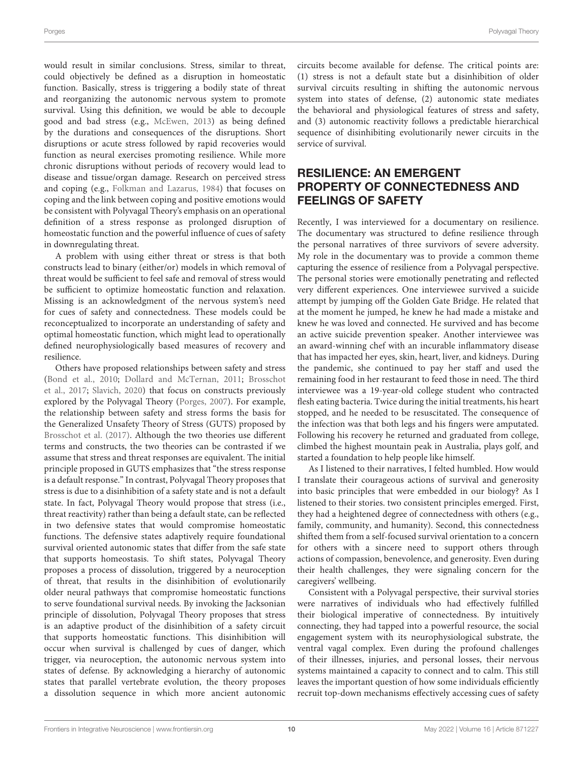would result in similar conclusions. Stress, similar to threat, could objectively be defined as a disruption in homeostatic function. Basically, stress is triggering a bodily state of threat and reorganizing the autonomic nervous system to promote survival. Using this definition, we would be able to decouple good and bad stress (e.g., [McEwen,](#page-13-36) [2013\)](#page-13-36) as being defined by the durations and consequences of the disruptions. Short disruptions or acute stress followed by rapid recoveries would function as neural exercises promoting resilience. While more chronic disruptions without periods of recovery would lead to disease and tissue/organ damage. Research on perceived stress and coping (e.g., [Folkman and Lazarus,](#page-13-37) [1984\)](#page-13-37) that focuses on coping and the link between coping and positive emotions would be consistent with Polyvagal Theory's emphasis on an operational definition of a stress response as prolonged disruption of homeostatic function and the powerful influence of cues of safety in downregulating threat.

A problem with using either threat or stress is that both constructs lead to binary (either/or) models in which removal of threat would be sufficient to feel safe and removal of stress would be sufficient to optimize homeostatic function and relaxation. Missing is an acknowledgment of the nervous system's need for cues of safety and connectedness. These models could be reconceptualized to incorporate an understanding of safety and optimal homeostatic function, which might lead to operationally defined neurophysiologically based measures of recovery and resilience.

Others have proposed relationships between safety and stress [\(Bond et al.,](#page-13-38) [2010;](#page-13-38) [Dollard and McTernan,](#page-13-39) [2011;](#page-13-39) [Brosschot](#page-13-40) [et al.,](#page-13-40) [2017;](#page-13-40) [Slavich,](#page-14-8) [2020\)](#page-14-8) that focus on constructs previously explored by the Polyvagal Theory [\(Porges,](#page-13-41) [2007\)](#page-13-41). For example, the relationship between safety and stress forms the basis for the Generalized Unsafety Theory of Stress (GUTS) proposed by [Brosschot et al.](#page-13-40) [\(2017\)](#page-13-40). Although the two theories use different terms and constructs, the two theories can be contrasted if we assume that stress and threat responses are equivalent. The initial principle proposed in GUTS emphasizes that "the stress response is a default response." In contrast, Polyvagal Theory proposes that stress is due to a disinhibition of a safety state and is not a default state. In fact, Polyvagal Theory would propose that stress (i.e., threat reactivity) rather than being a default state, can be reflected in two defensive states that would compromise homeostatic functions. The defensive states adaptively require foundational survival oriented autonomic states that differ from the safe state that supports homeostasis. To shift states, Polyvagal Theory proposes a process of dissolution, triggered by a neuroception of threat, that results in the disinhibition of evolutionarily older neural pathways that compromise homeostatic functions to serve foundational survival needs. By invoking the Jacksonian principle of dissolution, Polyvagal Theory proposes that stress is an adaptive product of the disinhibition of a safety circuit that supports homeostatic functions. This disinhibition will occur when survival is challenged by cues of danger, which trigger, via neuroception, the autonomic nervous system into states of defense. By acknowledging a hierarchy of autonomic states that parallel vertebrate evolution, the theory proposes a dissolution sequence in which more ancient autonomic circuits become available for defense. The critical points are: (1) stress is not a default state but a disinhibition of older survival circuits resulting in shifting the autonomic nervous system into states of defense, (2) autonomic state mediates the behavioral and physiological features of stress and safety, and (3) autonomic reactivity follows a predictable hierarchical sequence of disinhibiting evolutionarily newer circuits in the service of survival.

## RESILIENCE: AN EMERGENT PROPERTY OF CONNECTEDNESS AND FEELINGS OF SAFETY

Recently, I was interviewed for a documentary on resilience. The documentary was structured to define resilience through the personal narratives of three survivors of severe adversity. My role in the documentary was to provide a common theme capturing the essence of resilience from a Polyvagal perspective. The personal stories were emotionally penetrating and reflected very different experiences. One interviewee survived a suicide attempt by jumping off the Golden Gate Bridge. He related that at the moment he jumped, he knew he had made a mistake and knew he was loved and connected. He survived and has become an active suicide prevention speaker. Another interviewee was an award-winning chef with an incurable inflammatory disease that has impacted her eyes, skin, heart, liver, and kidneys. During the pandemic, she continued to pay her staff and used the remaining food in her restaurant to feed those in need. The third interviewee was a 19-year-old college student who contracted flesh eating bacteria. Twice during the initial treatments, his heart stopped, and he needed to be resuscitated. The consequence of the infection was that both legs and his fingers were amputated. Following his recovery he returned and graduated from college, climbed the highest mountain peak in Australia, plays golf, and started a foundation to help people like himself.

As I listened to their narratives, I felted humbled. How would I translate their courageous actions of survival and generosity into basic principles that were embedded in our biology? As I listened to their stories. two consistent principles emerged. First, they had a heightened degree of connectedness with others (e.g., family, community, and humanity). Second, this connectedness shifted them from a self-focused survival orientation to a concern for others with a sincere need to support others through actions of compassion, benevolence, and generosity. Even during their health challenges, they were signaling concern for the caregivers' wellbeing.

Consistent with a Polyvagal perspective, their survival stories were narratives of individuals who had effectively fulfilled their biological imperative of connectedness. By intuitively connecting, they had tapped into a powerful resource, the social engagement system with its neurophysiological substrate, the ventral vagal complex. Even during the profound challenges of their illnesses, injuries, and personal losses, their nervous systems maintained a capacity to connect and to calm. This still leaves the important question of how some individuals efficiently recruit top-down mechanisms effectively accessing cues of safety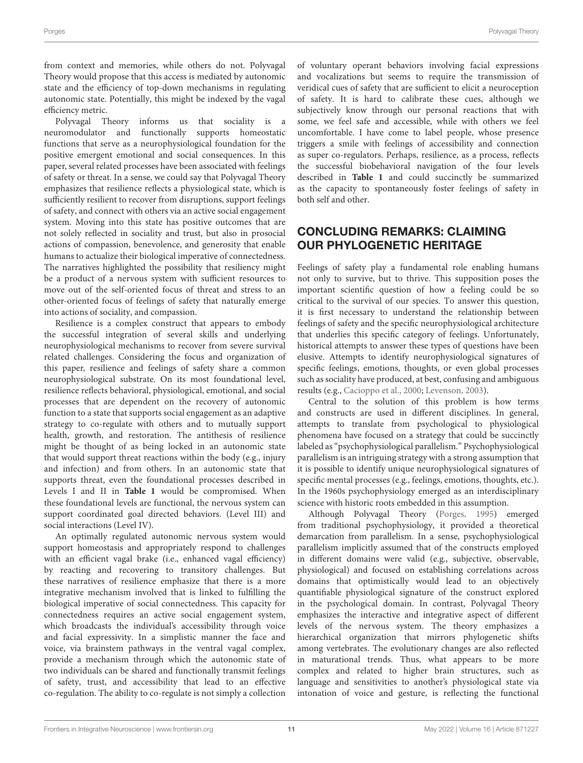from context and memories, while others do not. Polyvagal Theory would propose that this access is mediated by autonomic state and the efficiency of top-down mechanisms in regulating autonomic state. Potentially, this might be indexed by the vagal efficiency metric.

Polyvagal Theory informs us that sociality is a neuromodulator and functionally supports homeostatic functions that serve as a neurophysiological foundation for the positive emergent emotional and social consequences. In this paper, several related processes have been associated with feelings of safety or threat. In a sense, we could say that Polyvagal Theory emphasizes that resilience reflects a physiological state, which is sufficiently resilient to recover from disruptions, support feelings of safety, and connect with others via an active social engagement system. Moving into this state has positive outcomes that are not solely reflected in sociality and trust, but also in prosocial actions of compassion, benevolence, and generosity that enable humans to actualize their biological imperative of connectedness. The narratives highlighted the possibility that resiliency might be a product of a nervous system with sufficient resources to move out of the self-oriented focus of threat and stress to an other-oriented focus of feelings of safety that naturally emerge into actions of sociality, and compassion.

Resilience is a complex construct that appears to embody the successful integration of several skills and underlying neurophysiological mechanisms to recover from severe survival related challenges. Considering the focus and organization of this paper, resilience and feelings of safety share a common neurophysiological substrate. On its most foundational level, resilience reflects behavioral, physiological, emotional, and social processes that are dependent on the recovery of autonomic function to a state that supports social engagement as an adaptive strategy to co-regulate with others and to mutually support health, growth, and restoration. The antithesis of resilience might be thought of as being locked in an autonomic state that would support threat reactions within the body (e.g., injury and infection) and from others. In an autonomic state that supports threat, even the foundational processes described in Levels I and II in **[Table 1](#page-2-0)** would be compromised. When these foundational levels are functional, the nervous system can support coordinated goal directed behaviors. (Level III) and social interactions (Level IV).

An optimally regulated autonomic nervous system would support homeostasis and appropriately respond to challenges with an efficient vagal brake (i.e., enhanced vagal efficiency) by reacting and recovering to transitory challenges. But these narratives of resilience emphasize that there is a more integrative mechanism involved that is linked to fulfilling the biological imperative of social connectedness. This capacity for connectedness requires an active social engagement system, which broadcasts the individual's accessibility through voice and facial expressivity. In a simplistic manner the face and voice, via brainstem pathways in the ventral vagal complex, provide a mechanism through which the autonomic state of two individuals can be shared and functionally transmit feelings of safety, trust, and accessibility that lead to an effective co-regulation. The ability to co-regulate is not simply a collection

of voluntary operant behaviors involving facial expressions and vocalizations but seems to require the transmission of veridical cues of safety that are sufficient to elicit a neuroception of safety. It is hard to calibrate these cues, although we subjectively know through our personal reactions that with some, we feel safe and accessible, while with others we feel uncomfortable. I have come to label people, whose presence triggers a smile with feelings of accessibility and connection as super co-regulators. Perhaps, resilience, as a process, reflects the successful biobehavioral navigation of the four levels described in **[Table 1](#page-2-0)** and could succinctly be summarized as the capacity to spontaneously foster feelings of safety in both self and other.

# CONCLUDING REMARKS: CLAIMING OUR PHYLOGENETIC HERITAGE

Feelings of safety play a fundamental role enabling humans not only to survive, but to thrive. This supposition poses the important scientific question of how a feeling could be so critical to the survival of our species. To answer this question, it is first necessary to understand the relationship between feelings of safety and the specific neurophysiological architecture that underlies this specific category of feelings. Unfortunately, historical attempts to answer these types of questions have been elusive. Attempts to identify neurophysiological signatures of specific feelings, emotions, thoughts, or even global processes such as sociality have produced, at best, confusing and ambiguous results (e.g., [Cacioppo et al.,](#page-13-42) [2000;](#page-13-42) [Levenson,](#page-13-43) [2003\)](#page-13-43).

Central to the solution of this problem is how terms and constructs are used in different disciplines. In general, attempts to translate from psychological to physiological phenomena have focused on a strategy that could be succinctly labeled as "psychophysiological parallelism." Psychophysiological parallelism is an intriguing strategy with a strong assumption that it is possible to identify unique neurophysiological signatures of specific mental processes (e.g., feelings, emotions, thoughts, etc.). In the 1960s psychophysiology emerged as an interdisciplinary science with historic roots embedded in this assumption.

Although Polyvagal Theory [\(Porges,](#page-13-26) [1995\)](#page-13-26) emerged from traditional psychophysiology, it provided a theoretical demarcation from parallelism. In a sense, psychophysiological parallelism implicitly assumed that of the constructs employed in different domains were valid (e.g., subjective, observable, physiological) and focused on establishing correlations across domains that optimistically would lead to an objectively quantifiable physiological signature of the construct explored in the psychological domain. In contrast, Polyvagal Theory emphasizes the interactive and integrative aspect of different levels of the nervous system. The theory emphasizes a hierarchical organization that mirrors phylogenetic shifts among vertebrates. The evolutionary changes are also reflected in maturational trends. Thus, what appears to be more complex and related to higher brain structures, such as language and sensitivities to another's physiological state via intonation of voice and gesture, is reflecting the functional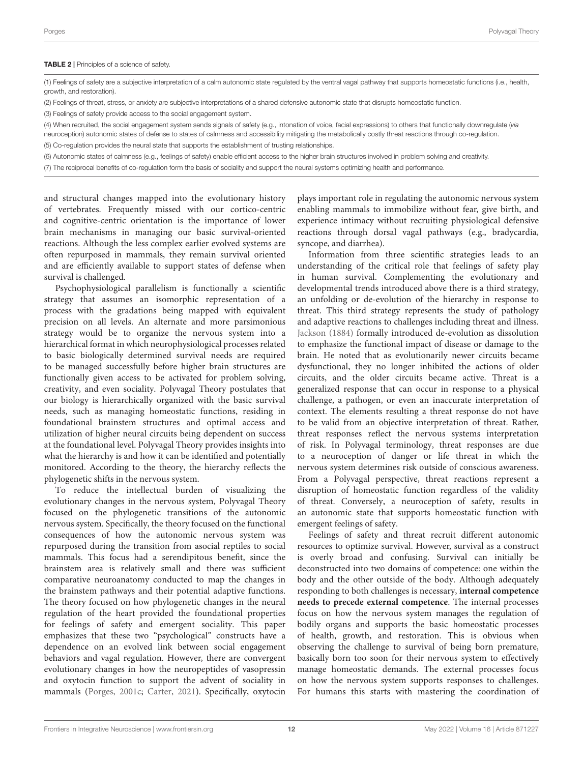#### <span id="page-11-0"></span>TABLE 2 | Principles of a science of safety.

(1) Feelings of safety are a subjective interpretation of a calm autonomic state regulated by the ventral vagal pathway that supports homeostatic functions (i.e., health, growth, and restoration).

(2) Feelings of threat, stress, or anxiety are subjective interpretations of a shared defensive autonomic state that disrupts homeostatic function.

(3) Feelings of safety provide access to the social engagement system.

(4) When recruited, the social engagement system sends signals of safety (e.g., intonation of voice, facial expressions) to others that functionally downregulate (via neuroception) autonomic states of defense to states of calmness and accessibility mitigating the metabolically costly threat reactions through co-regulation.

(5) Co-regulation provides the neural state that supports the establishment of trusting relationships.

(6) Autonomic states of calmness (e.g., feelings of safety) enable efficient access to the higher brain structures involved in problem solving and creativity.

(7) The reciprocal benefits of co-regulation form the basis of sociality and support the neural systems optimizing health and performance.

and structural changes mapped into the evolutionary history of vertebrates. Frequently missed with our cortico-centric and cognitive-centric orientation is the importance of lower brain mechanisms in managing our basic survival-oriented reactions. Although the less complex earlier evolved systems are often repurposed in mammals, they remain survival oriented and are efficiently available to support states of defense when survival is challenged.

Psychophysiological parallelism is functionally a scientific strategy that assumes an isomorphic representation of a process with the gradations being mapped with equivalent precision on all levels. An alternate and more parsimonious strategy would be to organize the nervous system into a hierarchical format in which neurophysiological processes related to basic biologically determined survival needs are required to be managed successfully before higher brain structures are functionally given access to be activated for problem solving, creativity, and even sociality. Polyvagal Theory postulates that our biology is hierarchically organized with the basic survival needs, such as managing homeostatic functions, residing in foundational brainstem structures and optimal access and utilization of higher neural circuits being dependent on success at the foundational level. Polyvagal Theory provides insights into what the hierarchy is and how it can be identified and potentially monitored. According to the theory, the hierarchy reflects the phylogenetic shifts in the nervous system.

To reduce the intellectual burden of visualizing the evolutionary changes in the nervous system, Polyvagal Theory focused on the phylogenetic transitions of the autonomic nervous system. Specifically, the theory focused on the functional consequences of how the autonomic nervous system was repurposed during the transition from asocial reptiles to social mammals. This focus had a serendipitous benefit, since the brainstem area is relatively small and there was sufficient comparative neuroanatomy conducted to map the changes in the brainstem pathways and their potential adaptive functions. The theory focused on how phylogenetic changes in the neural regulation of the heart provided the foundational properties for feelings of safety and emergent sociality. This paper emphasizes that these two "psychological" constructs have a dependence on an evolved link between social engagement behaviors and vagal regulation. However, there are convergent evolutionary changes in how the neuropeptides of vasopressin and oxytocin function to support the advent of sociality in mammals [\(Porges,](#page-13-44) [2001c;](#page-13-44) [Carter,](#page-13-45) [2021\)](#page-13-45). Specifically, oxytocin

plays important role in regulating the autonomic nervous system enabling mammals to immobilize without fear, give birth, and experience intimacy without recruiting physiological defensive reactions through dorsal vagal pathways (e.g., bradycardia, syncope, and diarrhea).

Information from three scientific strategies leads to an understanding of the critical role that feelings of safety play in human survival. Complementing the evolutionary and developmental trends introduced above there is a third strategy, an unfolding or de-evolution of the hierarchy in response to threat. This third strategy represents the study of pathology and adaptive reactions to challenges including threat and illness. [Jackson](#page-13-13) [\(1884\)](#page-13-13) formally introduced de-evolution as dissolution to emphasize the functional impact of disease or damage to the brain. He noted that as evolutionarily newer circuits became dysfunctional, they no longer inhibited the actions of older circuits, and the older circuits became active. Threat is a generalized response that can occur in response to a physical challenge, a pathogen, or even an inaccurate interpretation of context. The elements resulting a threat response do not have to be valid from an objective interpretation of threat. Rather, threat responses reflect the nervous systems interpretation of risk. In Polyvagal terminology, threat responses are due to a neuroception of danger or life threat in which the nervous system determines risk outside of conscious awareness. From a Polyvagal perspective, threat reactions represent a disruption of homeostatic function regardless of the validity of threat. Conversely, a neuroception of safety, results in an autonomic state that supports homeostatic function with emergent feelings of safety.

Feelings of safety and threat recruit different autonomic resources to optimize survival. However, survival as a construct is overly broad and confusing. Survival can initially be deconstructed into two domains of competence: one within the body and the other outside of the body. Although adequately responding to both challenges is necessary, **internal competence needs to precede external competence**. The internal processes focus on how the nervous system manages the regulation of bodily organs and supports the basic homeostatic processes of health, growth, and restoration. This is obvious when observing the challenge to survival of being born premature, basically born too soon for their nervous system to effectively manage homeostatic demands. The external processes focus on how the nervous system supports responses to challenges. For humans this starts with mastering the coordination of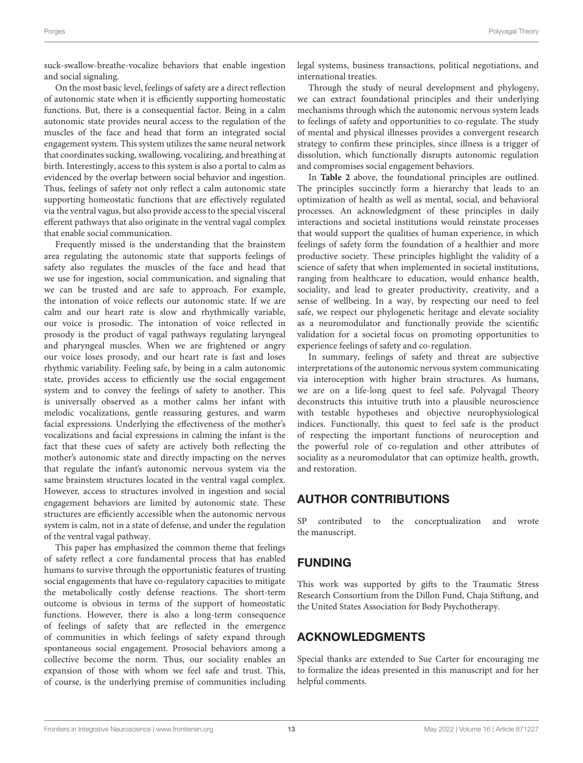On the most basic level, feelings of safety are a direct reflection of autonomic state when it is efficiently supporting homeostatic functions. But, there is a consequential factor. Being in a calm autonomic state provides neural access to the regulation of the muscles of the face and head that form an integrated social engagement system. This system utilizes the same neural network that coordinates sucking, swallowing, vocalizing, and breathing at birth. Interestingly, access to this system is also a portal to calm as evidenced by the overlap between social behavior and ingestion. Thus, feelings of safety not only reflect a calm autonomic state supporting homeostatic functions that are effectively regulated via the ventral vagus, but also provide access to the special visceral efferent pathways that also originate in the ventral vagal complex that enable social communication.

Frequently missed is the understanding that the brainstem area regulating the autonomic state that supports feelings of safety also regulates the muscles of the face and head that we use for ingestion, social communication, and signaling that we can be trusted and are safe to approach. For example, the intonation of voice reflects our autonomic state. If we are calm and our heart rate is slow and rhythmically variable, our voice is prosodic. The intonation of voice reflected in prosody is the product of vagal pathways regulating laryngeal and pharyngeal muscles. When we are frightened or angry our voice loses prosody, and our heart rate is fast and loses rhythmic variability. Feeling safe, by being in a calm autonomic state, provides access to efficiently use the social engagement system and to convey the feelings of safety to another. This is universally observed as a mother calms her infant with melodic vocalizations, gentle reassuring gestures, and warm facial expressions. Underlying the effectiveness of the mother's vocalizations and facial expressions in calming the infant is the fact that these cues of safety are actively both reflecting the mother's autonomic state and directly impacting on the nerves that regulate the infant's autonomic nervous system via the same brainstem structures located in the ventral vagal complex. However, access to structures involved in ingestion and social engagement behaviors are limited by autonomic state. These structures are efficiently accessible when the autonomic nervous system is calm, not in a state of defense, and under the regulation of the ventral vagal pathway.

This paper has emphasized the common theme that feelings of safety reflect a core fundamental process that has enabled humans to survive through the opportunistic features of trusting social engagements that have co-regulatory capacities to mitigate the metabolically costly defense reactions. The short-term outcome is obvious in terms of the support of homeostatic functions. However, there is also a long-term consequence of feelings of safety that are reflected in the emergence of communities in which feelings of safety expand through spontaneous social engagement. Prosocial behaviors among a collective become the norm. Thus, our sociality enables an expansion of those with whom we feel safe and trust. This, of course, is the underlying premise of communities including legal systems, business transactions, political negotiations, and international treaties.

Through the study of neural development and phylogeny, we can extract foundational principles and their underlying mechanisms through which the autonomic nervous system leads to feelings of safety and opportunities to co-regulate. The study of mental and physical illnesses provides a convergent research strategy to confirm these principles, since illness is a trigger of dissolution, which functionally disrupts autonomic regulation and compromises social engagement behaviors.

In **[Table 2](#page-11-0)** above, the foundational principles are outlined. The principles succinctly form a hierarchy that leads to an optimization of health as well as mental, social, and behavioral processes. An acknowledgment of these principles in daily interactions and societal institutions would reinstate processes that would support the qualities of human experience, in which feelings of safety form the foundation of a healthier and more productive society. These principles highlight the validity of a science of safety that when implemented in societal institutions, ranging from healthcare to education, would enhance health, sociality, and lead to greater productivity, creativity, and a sense of wellbeing. In a way, by respecting our need to feel safe, we respect our phylogenetic heritage and elevate sociality as a neuromodulator and functionally provide the scientific validation for a societal focus on promoting opportunities to experience feelings of safety and co-regulation.

In summary, feelings of safety and threat are subjective interpretations of the autonomic nervous system communicating via interoception with higher brain structures. As humans, we are on a life-long quest to feel safe. Polyvagal Theory deconstructs this intuitive truth into a plausible neuroscience with testable hypotheses and objective neurophysiological indices. Functionally, this quest to feel safe is the product of respecting the important functions of neuroception and the powerful role of co-regulation and other attributes of sociality as a neuromodulator that can optimize health, growth, and restoration.

### AUTHOR CONTRIBUTIONS

SP contributed to the conceptualization and wrote the manuscript.

# FUNDING

This work was supported by gifts to the Traumatic Stress Research Consortium from the Dillon Fund, Chaja Stiftung, and the United States Association for Body Psychotherapy.

# ACKNOWLEDGMENTS

Special thanks are extended to Sue Carter for encouraging me to formalize the ideas presented in this manuscript and for her helpful comments.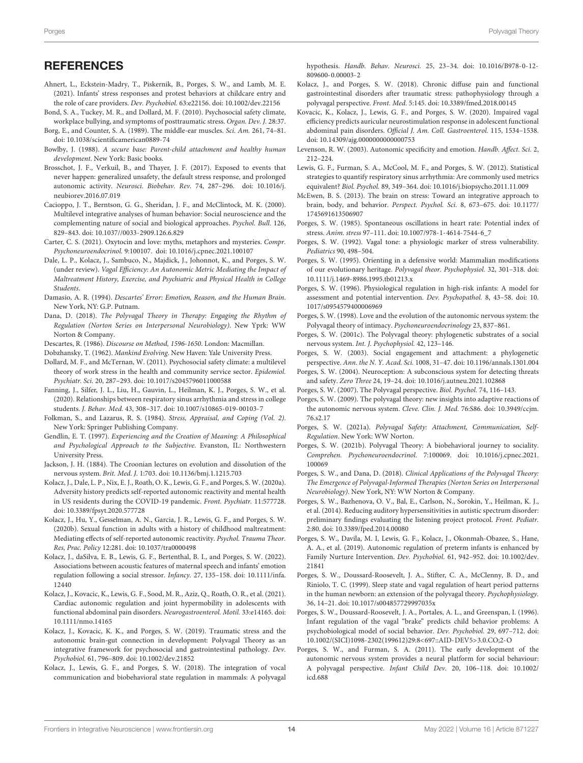- <span id="page-13-19"></span>Ahnert, L., Eckstein-Madry, T., Piskernik, B., Porges, S. W., and Lamb, M. E. (2021). Infants' stress responses and protest behaviors at childcare entry and the role of care providers. Dev. Psychobiol. 63:e22156. [doi: 10.1002/dev.22156](https://doi.org/10.1002/dev.22156)
- <span id="page-13-38"></span>Bond, S. A., Tuckey, M. R., and Dollard, M. F. (2010). Psychosocial safety climate, workplace bullying, and symptoms of posttraumatic stress. Organ. Dev. J. 28:37.
- <span id="page-13-30"></span>Borg, E., and Counter, S. A. (1989). The middle-ear muscles. Sci. Am. 261, 74–81. [doi: 10.1038/scientificamerican0889-74](https://doi.org/10.1038/scientificamerican0889-74)
- <span id="page-13-14"></span>Bowlby, J. (1988). A secure base: Parent-child attachment and healthy human development. New York: Basic books.
- <span id="page-13-40"></span>Brosschot, J. F., Verkuil, B., and Thayer, J. F. (2017). Exposed to events that never happen: generalized unsafety, the default stress response, and prolonged autonomic activity. Neurosci. Biobehav. Rev. 74, 287–296. [doi: 10.1016/j.](https://doi.org/10.1016/j.neubiorev.2016.07.019) [neubiorev.2016.07.019](https://doi.org/10.1016/j.neubiorev.2016.07.019)
- <span id="page-13-42"></span>Cacioppo, J. T., Berntson, G. G., Sheridan, J. F., and McClintock, M. K. (2000). Multilevel integrative analyses of human behavior: Social neuroscience and the complementing nature of social and biological approaches. Psychol. Bull. 126, 829–843. [doi: 10.1037//0033-2909.126.6.829](https://doi.org/10.1037//0033-2909.126.6.829)
- <span id="page-13-45"></span>Carter, C. S. (2021). Oxytocin and love: myths, metaphors and mysteries. Compr. Psychoneuroendocrinol. 9:100107. [doi: 10.1016/j.cpnec.2021.100107](https://doi.org/10.1016/j.cpnec.2021.100107)
- <span id="page-13-9"></span>Dale, L. P., Kolacz, J., Sambuco, N., Majdick, J., Johonnot, K., and Porges, S. W. (under review). Vagal Efficiency: An Autonomic Metric Mediating the Impact of Maltreatment History, Exercise, and Psychiatric and Physical Health in College Students.
- <span id="page-13-24"></span>Damasio, A. R. (1994). Descartes' Error: Emotion, Reason, and the Human Brain. New York, NY: G.P. Putnam.
- <span id="page-13-21"></span>Dana, D. (2018). The Polyvagal Theory in Therapy: Engaging the Rhythm of Regulation (Norton Series on Interpersonal Neurobiology). New Yprk: WW Norton & Company.
- <span id="page-13-23"></span>Descartes, R. (1986). Discourse on Method, 1596-1650. London: Macmillan.
- <span id="page-13-25"></span>Dobzhansky, T. (1962). Mankind Evolving. New Haven: Yale University Press.
- <span id="page-13-39"></span>Dollard, M. F., and McTernan, W. (2011). Psychosocial safety climate: a multilevel theory of work stress in the health and community service sector. Epidemiol. Psychiatr. Sci. 20, 287–293. [doi: 10.1017/s2045796011000588](https://doi.org/10.1017/s2045796011000588)
- <span id="page-13-16"></span>Fanning, J., Silfer, J. L., Liu, H., Gauvin, L., Heilman, K. J., Porges, S. W., et al. (2020). Relationships between respiratory sinus arrhythmia and stress in college students. J. Behav. Med. 43, 308–317. [doi: 10.1007/s10865-019-00103-7](https://doi.org/10.1007/s10865-019-00103-7)
- <span id="page-13-37"></span>Folkman, S., and Lazarus, R. S. (1984). Stress, Appraisal, and Coping (Vol. 2). New York: Springer Publishing Company.
- <span id="page-13-0"></span>Gendlin, E. T. (1997). Experiencing and the Creation of Meaning: A Philosophical and Psychological Approach to the Subjective. Evanston, IL: Northwestern University Press.
- <span id="page-13-13"></span>Jackson, J. H. (1884). The Croonian lectures on evolution and dissolution of the nervous system. Brit. Med. J. 1:703. [doi: 10.1136/bmj.1.1215.703](https://doi.org/10.1136/bmj.1.1215.703)
- <span id="page-13-15"></span>Kolacz, J., Dale, L. P., Nix, E. J., Roath, O. K., Lewis, G. F., and Porges, S. W. (2020a). Adversity history predicts self-reported autonomic reactivity and mental health in US residents during the COVID-19 pandemic. Front. Psychiatr. 11:577728. [doi: 10.3389/fpsyt.2020.577728](https://doi.org/10.3389/fpsyt.2020.577728)
- <span id="page-13-20"></span>Kolacz, J., Hu, Y., Gesselman, A. N., Garcia, J. R., Lewis, G. F., and Porges, S. W. (2020b). Sexual function in adults with a history of childhood maltreatment: Mediating effects of self-reported autonomic reactivity. Psychol. Trauma Theor. Res, Prac. Policy 12:281. [doi: 10.1037/tra0000498](https://doi.org/10.1037/tra0000498)
- <span id="page-13-18"></span>Kolacz, J., daSilva, E. B., Lewis, G. F., Bertenthal, B. I., and Porges, S. W. (2022). Associations between acoustic features of maternal speech and infants' emotion regulation following a social stressor. Infancy. 27, 135–158. [doi: 10.1111/infa.](https://doi.org/10.1111/infa.12440) [12440](https://doi.org/10.1111/infa.12440)
- <span id="page-13-10"></span>Kolacz, J., Kovacic, K., Lewis, G. F., Sood, M. R., Aziz, Q., Roath, O. R., et al. (2021). Cardiac autonomic regulation and joint hypermobility in adolescents with functional abdominal pain disorders. Neurogastroenterol. Motil. 33:e14165. [doi:](https://doi.org/10.1111/nmo.14165) [10.1111/nmo.14165](https://doi.org/10.1111/nmo.14165)
- <span id="page-13-28"></span>Kolacz, J., Kovacic, K. K., and Porges, S. W. (2019). Traumatic stress and the autonomic brain-gut connection in development: Polyvagal Theory as an integrative framework for psychosocial and gastrointestinal pathology. Dev. Psychobiol. 61, 796–809. [doi: 10.1002/dev.21852](https://doi.org/10.1002/dev.21852)
- <span id="page-13-29"></span>Kolacz, J., Lewis, G. F., and Porges, S. W. (2018). The integration of vocal communication and biobehavioral state regulation in mammals: A polyvagal

hypothesis. Handb. Behav. Neurosci. 25, 23–34. [doi: 10.1016/B978-0-12-](https://doi.org/10.1016/B978-0-12-809600-0.00003-2) [809600-0.00003-2](https://doi.org/10.1016/B978-0-12-809600-0.00003-2)

- <span id="page-13-27"></span>Kolacz, J., and Porges, S. W. (2018). Chronic diffuse pain and functional gastrointestinal disorders after traumatic stress: pathophysiology through a polyvagal perspective. Front. Med. 5:145. [doi: 10.3389/fmed.2018.00145](https://doi.org/10.3389/fmed.2018.00145)
- <span id="page-13-17"></span>Kovacic, K., Kolacz, J., Lewis, G. F., and Porges, S. W. (2020). Impaired vagal efficiency predicts auricular neurostimulation response in adolescent functional abdominal pain disorders. Official J. Am. Coll. Gastroenterol. 115, 1534–1538. [doi: 10.14309/ajg.0000000000000753](https://doi.org/10.14309/ajg.0000000000000753)
- <span id="page-13-43"></span>Levenson, R. W. (2003). Autonomic specificity and emotion. Handb. Affect. Sci. 2, 212–224.
- <span id="page-13-2"></span>Lewis, G. F., Furman, S. A., McCool, M. F., and Porges, S. W. (2012). Statistical strategies to quantify respiratory sinus arrhythmia: Are commonly used metrics equivalent? Biol. Psychol. 89, 349–364. [doi: 10.1016/j.biopsycho.2011.11.009](https://doi.org/10.1016/j.biopsycho.2011.11.009)
- <span id="page-13-36"></span>McEwen, B. S. (2013). The brain on stress: Toward an integrative approach to brain, body, and behavior. Perspect. Psychol. Sci. 8, 673–675. [doi: 10.1177/](https://doi.org/10.1177/1745691613506907) [1745691613506907](https://doi.org/10.1177/1745691613506907)
- <span id="page-13-35"></span>Porges, S. W. (1985). Spontaneous oscillations in heart rate: Potential index of stress. Anim. stress 97–111. [doi: 10.1007/978-1-4614-7544-6\\_7](https://doi.org/10.1007/978-1-4614-7544-6_7)
- <span id="page-13-3"></span>Porges, S. W. (1992). Vagal tone: a physiologic marker of stress vulnerability. Pediatrics 90, 498–504.
- <span id="page-13-26"></span>Porges, S. W. (1995). Orienting in a defensive world: Mammalian modifications of our evolutionary heritage. Polyvagal theor. Psychophysiol. 32, 301–318. [doi:](https://doi.org/10.1111/j.1469-8986.1995.tb01213.x) [10.1111/j.1469-8986.1995.tb01213.x](https://doi.org/10.1111/j.1469-8986.1995.tb01213.x)
- <span id="page-13-1"></span>Porges, S. W. (1996). Physiological regulation in high-risk infants: A model for assessment and potential intervention. Dev. Psychopathol. 8, 43–58. [doi: 10.](https://doi.org/10.1017/s0954579400006969) [1017/s0954579400006969](https://doi.org/10.1017/s0954579400006969)
- <span id="page-13-5"></span>Porges, S. W. (1998). Love and the evolution of the autonomic nervous system: the Polyvagal theory of intimacy. Psychoneuroendocrinology 23, 837–861.
- <span id="page-13-44"></span>Porges, S. W. (2001c). The Polyvagal theory: phylogenetic substrates of a social nervous system. Int. J. Psychophysiol. 42, 123–146.
- <span id="page-13-32"></span>Porges, S. W. (2003). Social engagement and attachment: a phylogenetic perspective. Ann. the N. Y. Acad. Sci. 1008, 31–47. [doi: 10.1196/annals.1301.004](https://doi.org/10.1196/annals.1301.004)
- <span id="page-13-33"></span>Porges, S. W. (2004). Neuroception: A subconscious system for detecting threats and safety. Zero Three 24, 19–24. [doi: 10.1016/j.autneu.2021.102868](https://doi.org/10.1016/j.autneu.2021.102868)
- <span id="page-13-41"></span>Porges, S. W. (2007). The Polyvagal perspective. Biol. Psychol. 74, 116–143.
- <span id="page-13-34"></span>Porges, S. W. (2009). The polyvagal theory: new insights into adaptive reactions of the autonomic nervous system. Cleve. Clin. J. Med. 76:S86. [doi: 10.3949/ccjm.](https://doi.org/10.3949/ccjm.76.s2.17) [76.s2.17](https://doi.org/10.3949/ccjm.76.s2.17)
- <span id="page-13-11"></span>Porges, S. W. (2021a). Polyvagal Safety: Attachment, Communication, Self-Regulation. New York: WW Norton.
- <span id="page-13-12"></span>Porges, S. W. (2021b). Polyvagal Theory: A biobehavioral journey to sociality. Comprehen. Psychoneuroendocrinol. 7:100069. [doi: 10.1016/j.cpnec.2021.](https://doi.org/10.1016/j.cpnec.2021.100069) [100069](https://doi.org/10.1016/j.cpnec.2021.100069)
- <span id="page-13-22"></span>Porges, S. W., and Dana, D. (2018). Clinical Applications of the Polyvagal Theory: The Emergence of Polyvagal-Informed Therapies (Norton Series on Interpersonal Neurobiology). New York, NY: WW Norton & Company.
- <span id="page-13-31"></span>Porges, S. W., Bazhenova, O. V., Bal, E., Carlson, N., Sorokin, Y., Heilman, K. J., et al. (2014). Reducing auditory hypersensitivities in autistic spectrum disorder: preliminary findings evaluating the listening project protocol. Front. Pediatr. 2:80. [doi: 10.3389/fped.2014.00080](https://doi.org/10.3389/fped.2014.00080)
- <span id="page-13-8"></span>Porges, S. W., Davila, M. I, Lewis, G. F., Kolacz, J., Okonmah-Obazee, S., Hane, A. A., et al. (2019). Autonomic regulation of preterm infants is enhanced by Family Nurture Intervention. Dev. Psychobiol. 61, 942–952. [doi: 10.1002/dev.](https://doi.org/10.1002/dev.21841) [21841](https://doi.org/10.1002/dev.21841)
- <span id="page-13-7"></span>Porges, S. W., Doussard-Roosevelt, J. A., Stifter, C. A., McClenny, B. D., and Riniolo, T. C. (1999). Sleep state and vagal regulation of heart period patterns in the human newborn: an extension of the polyvagal theory. Psychophysiology. 36, 14–21. [doi: 10.1017/s004857729997035x](https://doi.org/10.1017/s004857729997035x)
- <span id="page-13-6"></span>Porges, S. W., Doussard-Roosevelt, J. A., Portales, A. L., and Greenspan, I. (1996). Infant regulation of the vagal "brake" predicts child behavior problems: A psychobiological model of social behavior. Dev. Psychobiol. 29, 697–712. [doi:](https://doi.org/10.1002/(SICI)1098-2302(199612)29:8<697::AID-DEV5>3.0.CO;2-O) [10.1002/\(SICI\)1098-2302\(199612\)29:8<697::AID-DEV5>3.0.CO;2-O](https://doi.org/10.1002/(SICI)1098-2302(199612)29:8<697::AID-DEV5>3.0.CO;2-O)
- <span id="page-13-4"></span>Porges, S. W., and Furman, S. A. (2011). The early development of the autonomic nervous system provides a neural platform for social behaviour: A polyvagal perspective. Infant Child Dev. 20, 106–118. [doi: 10.1002/](https://doi.org/10.1002/icd.688) [icd.688](https://doi.org/10.1002/icd.688)